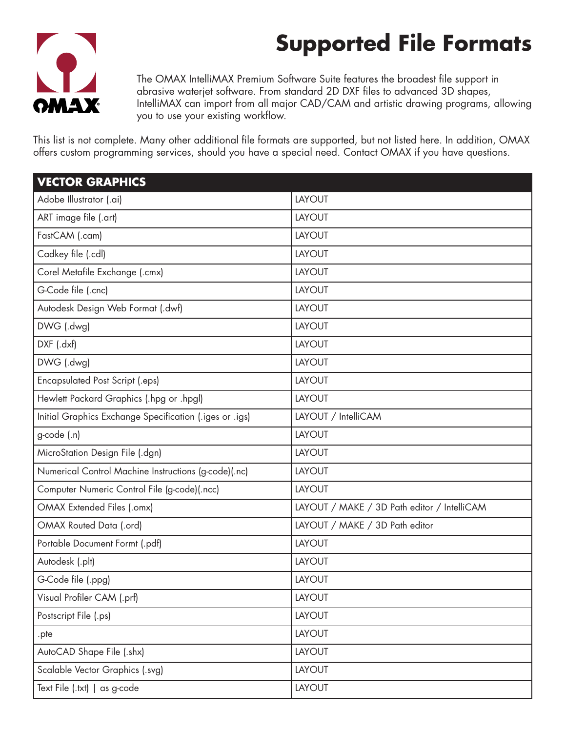## **Supported File Formats**



The OMAX IntelliMAX Premium Software Suite features the broadest file support in abrasive waterjet software. From standard 2D DXF files to advanced 3D shapes, IntelliMAX can import from all major CAD/CAM and artistic drawing programs, allowing you to use your existing workflow.

This list is not complete. Many other additional file formats are supported, but not listed here. In addition, OMAX offers custom programming services, should you have a special need. Contact OMAX if you have questions.

| <b>VECTOR GRAPHICS</b>                                  |                                             |
|---------------------------------------------------------|---------------------------------------------|
| Adobe Illustrator (.ai)                                 | LAYOUT                                      |
| ART image file (.art)                                   | <b>LAYOUT</b>                               |
| FastCAM (.cam)                                          | <b>LAYOUT</b>                               |
| Cadkey file (.cdl)                                      | LAYOUT                                      |
| Corel Metafile Exchange (.cmx)                          | LAYOUT                                      |
| G-Code file (.cnc)                                      | LAYOUT                                      |
| Autodesk Design Web Format (.dwf)                       | LAYOUT                                      |
| DWG (.dwg)                                              | LAYOUT                                      |
| DXF (.dxf)                                              | LAYOUT                                      |
| DWG (.dwg)                                              | LAYOUT                                      |
| <b>Encapsulated Post Script (.eps)</b>                  | LAYOUT                                      |
| Hewlett Packard Graphics (.hpg or .hpgl)                | LAYOUT                                      |
| Initial Graphics Exchange Specification (.iges or .igs) | LAYOUT / IntelliCAM                         |
| g-code (.n)                                             | LAYOUT                                      |
| MicroStation Design File (.dgn)                         | LAYOUT                                      |
| Numerical Control Machine Instructions (g-code)(.nc)    | LAYOUT                                      |
| Computer Numeric Control File (g-code)(.ncc)            | LAYOUT                                      |
| OMAX Extended Files (.omx)                              | LAYOUT / MAKE / 3D Path editor / IntelliCAM |
| <b>OMAX Routed Data (.ord)</b>                          | LAYOUT / MAKE / 3D Path editor              |
| Portable Document Formt (.pdf)                          | LAYOUT                                      |
| Autodesk (.plt)                                         | LAYOUT                                      |
| G-Code file (.ppg)                                      | LAYOUT                                      |
| Visual Profiler CAM (.prf)                              | LAYOUT                                      |
| Postscript File (.ps)                                   | LAYOUT                                      |
| .pte                                                    | LAYOUT                                      |
| AutoCAD Shape File (.shx)                               | LAYOUT                                      |
| Scalable Vector Graphics (.svg)                         | LAYOUT                                      |
| Text File (.txt)   as g-code                            | LAYOUT                                      |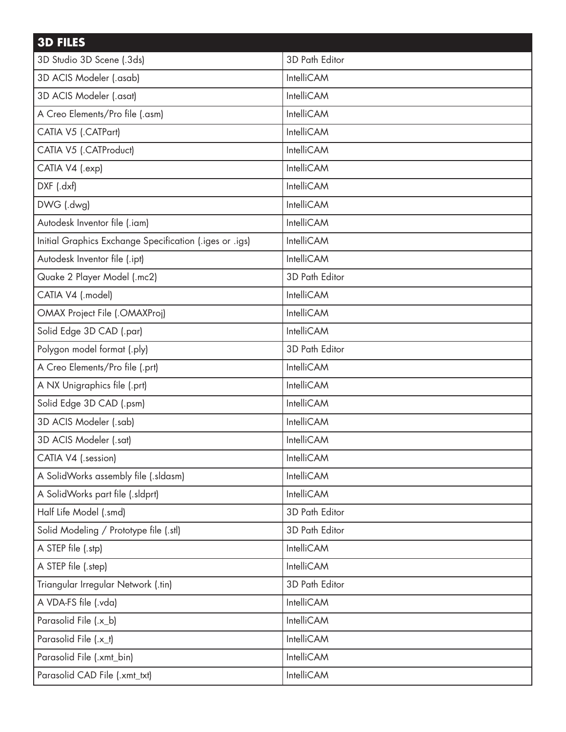| <b>3D FILES</b>                                         |                   |
|---------------------------------------------------------|-------------------|
| 3D Studio 3D Scene (.3ds)                               | 3D Path Editor    |
| 3D ACIS Modeler (.asab)                                 | IntelliCAM        |
| 3D ACIS Modeler (.asat)                                 | IntelliCAM        |
| A Creo Elements/Pro file (.asm)                         | IntelliCAM        |
| CATIA V5 (.CATPart)                                     | IntelliCAM        |
| CATIA V5 (.CATProduct)                                  | IntelliCAM        |
| CATIA V4 (.exp)                                         | IntelliCAM        |
| DXF (.dxf)                                              | IntelliCAM        |
| DWG (.dwg)                                              | IntelliCAM        |
| Autodesk Inventor file (.iam)                           | IntelliCAM        |
| Initial Graphics Exchange Specification (.iges or .igs) | IntelliCAM        |
| Autodesk Inventor file (.ipt)                           | IntelliCAM        |
| Quake 2 Player Model (.mc2)                             | 3D Path Editor    |
| CATIA V4 (.model)                                       | IntelliCAM        |
| OMAX Project File (.OMAXProj)                           | IntelliCAM        |
| Solid Edge 3D CAD (.par)                                | IntelliCAM        |
| Polygon model format (.ply)                             | 3D Path Editor    |
| A Creo Elements/Pro file (.prt)                         | IntelliCAM        |
| A NX Unigraphics file (.prt)                            | IntelliCAM        |
| Solid Edge 3D CAD (.psm)                                | IntelliCAM        |
| 3D ACIS Modeler (.sab)                                  | <b>IntelliCAM</b> |
| 3D ACIS Modeler (.sat)                                  | IntelliCAM        |
| CATIA V4 (.session)                                     | IntelliCAM        |
| A SolidWorks assembly file (.sldasm)                    | IntelliCAM        |
| A SolidWorks part file (.sldprt)                        | IntelliCAM        |
| Half Life Model (.smd)                                  | 3D Path Editor    |
| Solid Modeling / Prototype file (.stl)                  | 3D Path Editor    |
| A STEP file (.stp)                                      | IntelliCAM        |
| A STEP file (.step)                                     | IntelliCAM        |
| Triangular Irregular Network (.tin)                     | 3D Path Editor    |
| A VDA-FS file (.vda)                                    | IntelliCAM        |
| Parasolid File (.x_b)                                   | IntelliCAM        |
| Parasolid File (.x_t)                                   | IntelliCAM        |
| Parasolid File (.xmt_bin)                               | IntelliCAM        |
| Parasolid CAD File (.xmt_txt)                           | IntelliCAM        |